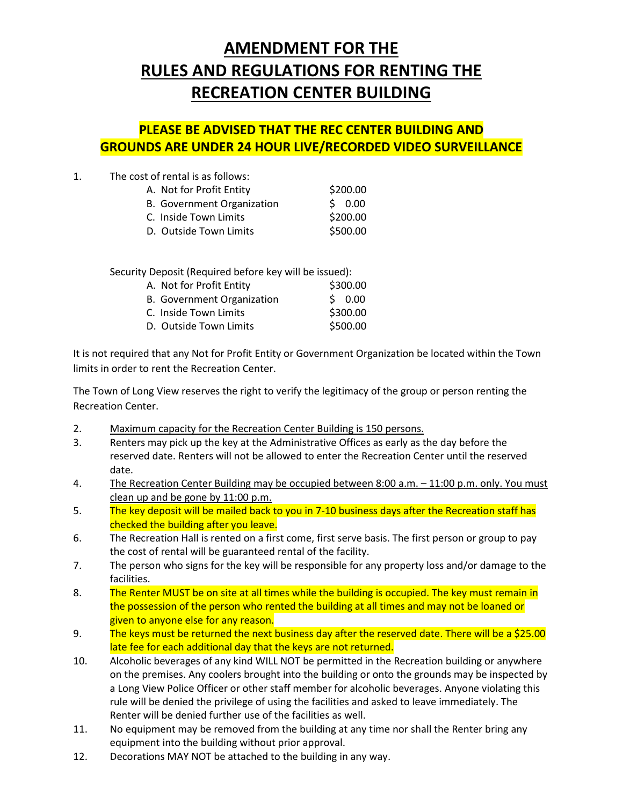## **AMENDMENT FOR THE RULES AND REGULATIONS FOR RENTING THE RECREATION CENTER BUILDING**

## **PLEASE BE ADVISED THAT THE REC CENTER BUILDING AND GROUNDS ARE UNDER 24 HOUR LIVE/RECORDED VIDEO SURVEILLANCE**

1. The cost of rental is as follows:

| A. Not for Profit Entity   | \$200.00 |
|----------------------------|----------|
| B. Government Organization | \$0.00   |
| C. Inside Town Limits      | \$200.00 |
| D. Outside Town Limits     | \$500.00 |

Security Deposit (Required before key will be issued):

| A. Not for Profit Entity   | \$300.00 |  |
|----------------------------|----------|--|
| B. Government Organization | 50.00    |  |
| C. Inside Town Limits      | \$300.00 |  |
| D. Outside Town Limits     | \$500.00 |  |

It is not required that any Not for Profit Entity or Government Organization be located within the Town limits in order to rent the Recreation Center.

The Town of Long View reserves the right to verify the legitimacy of the group or person renting the Recreation Center.

- 2. Maximum capacity for the Recreation Center Building is 150 persons.
- 3. Renters may pick up the key at the Administrative Offices as early as the day before the reserved date. Renters will not be allowed to enter the Recreation Center until the reserved date.
- 4. The Recreation Center Building may be occupied between 8:00 a.m. 11:00 p.m. only. You must clean up and be gone by 11:00 p.m.
- 5. The key deposit will be mailed back to you in 7-10 business days after the Recreation staff has checked the building after you leave.
- 6. The Recreation Hall is rented on a first come, first serve basis. The first person or group to pay the cost of rental will be guaranteed rental of the facility.
- 7. The person who signs for the key will be responsible for any property loss and/or damage to the facilities.
- 8. The Renter MUST be on site at all times while the building is occupied. The key must remain in the possession of the person who rented the building at all times and may not be loaned or given to anyone else for any reason.
- 9. The keys must be returned the next business day after the reserved date. There will be a \$25.00 late fee for each additional day that the keys are not returned.
- 10. Alcoholic beverages of any kind WILL NOT be permitted in the Recreation building or anywhere on the premises. Any coolers brought into the building or onto the grounds may be inspected by a Long View Police Officer or other staff member for alcoholic beverages. Anyone violating this rule will be denied the privilege of using the facilities and asked to leave immediately. The Renter will be denied further use of the facilities as well.
- 11. No equipment may be removed from the building at any time nor shall the Renter bring any equipment into the building without prior approval.
- 12. Decorations MAY NOT be attached to the building in any way.